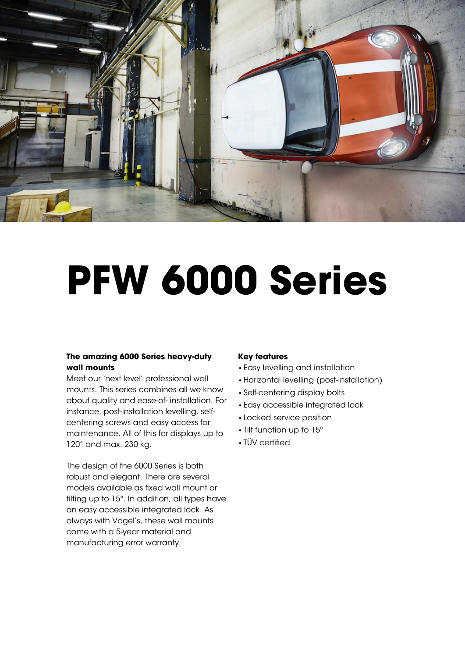

# **PFW 6000 Series**

## **The amazing 6000 Series heavy-duty wall mounts**

Meet our 'next level' professional wall mounts. This series combines all we know about quality and ease-of- installation. For instance, post-installation levelling, selfcentering screws and easy access for maintenance. All of this for displays up to 120" and max. 230 kg.

The design of the 6000 Series is both robust and elegant. There are several models available as fixed wall mount or tilting up to 15°. In addition, all types have an easy accessible integrated lock. As always with Vogel's, these wall mounts come with a 5-year material and manufacturing error warranty.

## **Key features**

- •Easy levelling and installation
- •Horizontal levelling (post-installation)
- •Self-centering display bolts
- •Easy accessible integrated lock
- •Locked service position
- •Tilt function up to 15º
- TÜV certified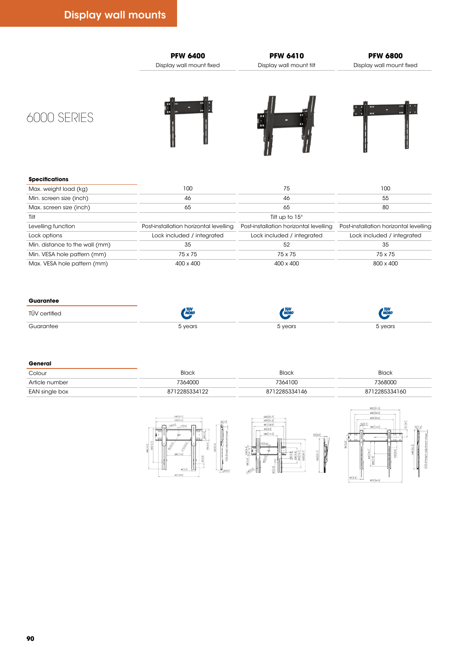







#### **Specifications**

| Max. weight load (kg)          | 100                                    |                                        | 100                                    |
|--------------------------------|----------------------------------------|----------------------------------------|----------------------------------------|
| Min. screen size (inch)        |                                        |                                        |                                        |
| Max. screen size (inch)        |                                        | 65                                     | 80                                     |
| Tilt                           |                                        | Tilt up to 15°                         |                                        |
| Levelling function             | Post-installation horizontal levelling | Post-installation horizontal levelling | Post-installation horizontal levelling |
| Lock options                   | Lock included / integrated             | Lock included / integrated             | Lock included / integrated             |
| Min. distance to the wall (mm) |                                        |                                        |                                        |
| Min. VESA hole pattern (mm)    | 75 x 75                                | 75 x 75                                | 75 x 75                                |
| Max. VESA hole pattern (mm)    | 400 x 400                              | 400 x 400                              | 800 x 400                              |

#### **Guarantee**

#### **General**

| Colour         | wur     | Black                | <b>BIGCK</b> |
|----------------|---------|----------------------|--------------|
| Article numbe  | 101100  | 7364106<br>1 UU<br>. | 36800        |
| EAN single box | 5331122 | 712285334146         | 2285334160   |